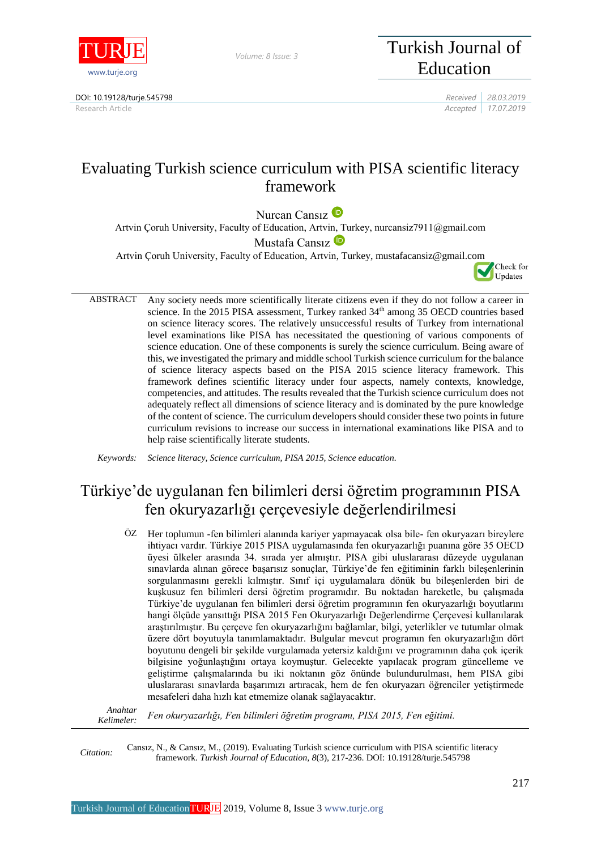

*Volume: 8 Issue: 3*

## DOI: 10.19128/turje.545798 *Received 28.03.2019*

Turkish Journal of Education

Research Article *Accepted 17.07.2019*

# Evaluating Turkish science curriculum with PISA scientific literacy framework

Nurcan Cansız<sup>D</sup>

Artvin Çoruh University, Faculty of Education, Artvi[n, T](https://orcid.org/0000-0002-7157-2888)urkey, nurcansiz7911@gmail.com

Mustafa Cansız<sup>D</sup>

Artvin Çoruh University, Faculty of Education, Artvin, Turkey, mustafacansiz@gmail.com

Check for Updates

ABSTRACT Any society needs more scientifically literate citizens even if they do not follow a career in science. In the 2015 PISA assessment, Turkey ranked 34<sup>th</sup> among 35 OECD countries based on science literacy scores. The relatively unsuccessful results of Turkey from international level examinations like PISA has necessitated the questioning of various components of science education. One of these components is surely the science curriculum. Being aware of this, we investigated the primary and middle school Turkish science curriculum for the balance of science literacy aspects based on the PISA 2015 science literacy framework. This framework defines scientific literacy under four aspects, namely contexts, knowledge, competencies, and attitudes. The results revealed that the Turkish science curriculum does not adequately reflect all dimensions of science literacy and is dominated by the pure knowledge of the content of science. The curriculum developers should consider these two points in future curriculum revisions to increase our success in international examinations like PISA and to help raise scientifically literate students.

*Keywords: Science literacy, Science curriculum, PISA 2015, Science education.*

# Türkiye'de uygulanan fen bilimleri dersi öğretim programının PISA fen okuryazarlığı çerçevesiyle değerlendirilmesi

ÖZ Her toplumun -fen bilimleri alanında kariyer yapmayacak olsa bile- fen okuryazarı bireylere ihtiyacı vardır. Türkiye 2015 PISA uygulamasında fen okuryazarlığı puanına göre 35 OECD üyesi ülkeler arasında 34. sırada yer almıştır. PISA gibi uluslararası düzeyde uygulanan sınavlarda alınan görece başarısız sonuçlar, Türkiye'de fen eğitiminin farklı bileşenlerinin sorgulanmasını gerekli kılmıştır. Sınıf içi uygulamalara dönük bu bileşenlerden biri de kuşkusuz fen bilimleri dersi öğretim programıdır. Bu noktadan hareketle, bu çalışmada Türkiye'de uygulanan fen bilimleri dersi öğretim programının fen okuryazarlığı boyutlarını hangi ölçüde yansıttığı PISA 2015 Fen Okuryazarlığı Değerlendirme Çerçevesi kullanılarak araştırılmıştır. Bu çerçeve fen okuryazarlığını bağlamlar, bilgi, yeterlikler ve tutumlar olmak üzere dört boyutuyla tanımlamaktadır. Bulgular mevcut programın fen okuryazarlığın dört boyutunu dengeli bir şekilde vurgulamada yetersiz kaldığını ve programının daha çok içerik bilgisine yoğunlaştığını ortaya koymuştur. Gelecekte yapılacak program güncelleme ve geliştirme çalışmalarında bu iki noktanın göz önünde bulundurulması, hem PISA gibi uluslararası sınavlarda başarımızı artıracak, hem de fen okuryazarı öğrenciler yetiştirmede mesafeleri daha hızlı kat etmemize olanak sağlayacaktır.

*Anahtar Kelimeler: Fen okuryazarlığı, Fen bilimleri öğretim programı, PISA 2015, Fen eğitimi.*

*Citation:* Cansız, N., & Cansız, M., (2019). Evaluating Turkish science curriculum with PISA scientific literacy framework. *Turkish Journal of Education, 8*(3), 217-236. DOI: 10.19128/turje.545798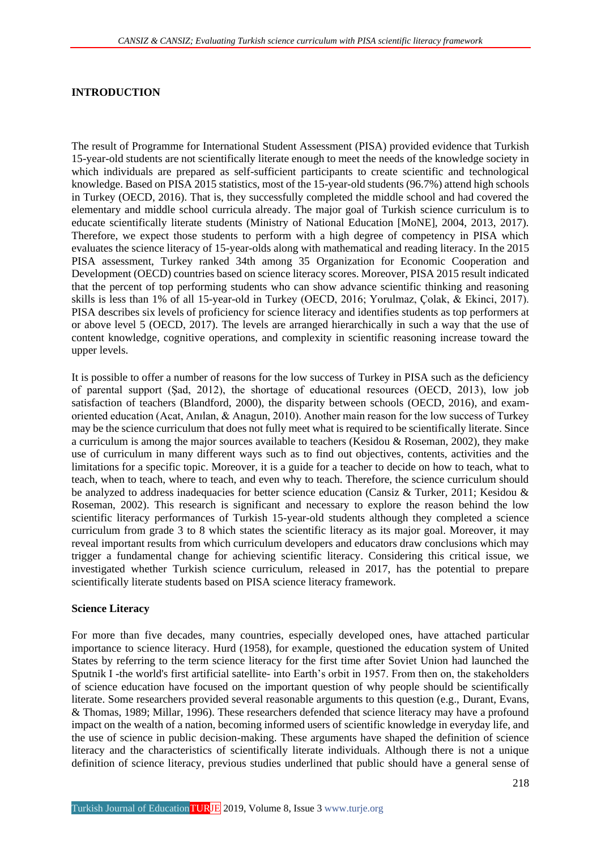#### **INTRODUCTION**

The result of Programme for International Student Assessment (PISA) provided evidence that Turkish 15-year-old students are not scientifically literate enough to meet the needs of the knowledge society in which individuals are prepared as self-sufficient participants to create scientific and technological knowledge. Based on PISA 2015 statistics, most of the 15-year-old students (96.7%) attend high schools in Turkey (OECD, 2016). That is, they successfully completed the middle school and had covered the elementary and middle school curricula already. The major goal of Turkish science curriculum is to educate scientifically literate students (Ministry of National Education [MoNE], 2004, 2013, 2017). Therefore, we expect those students to perform with a high degree of competency in PISA which evaluates the science literacy of 15-year-olds along with mathematical and reading literacy. In the 2015 PISA assessment, Turkey ranked 34th among 35 Organization for Economic Cooperation and Development (OECD) countries based on science literacy scores. Moreover, PISA 2015 result indicated that the percent of top performing students who can show advance scientific thinking and reasoning skills is less than 1% of all 15-year-old in Turkey (OECD, 2016; Yorulmaz, Çolak, & Ekinci, 2017). PISA describes six levels of proficiency for science literacy and identifies students as top performers at or above level 5 (OECD, 2017). The levels are arranged hierarchically in such a way that the use of content knowledge, cognitive operations, and complexity in scientific reasoning increase toward the upper levels.

It is possible to offer a number of reasons for the low success of Turkey in PISA such as the deficiency of parental support (Şad, 2012), the shortage of educational resources (OECD, 2013), low job satisfaction of teachers (Blandford, 2000), the disparity between schools (OECD, 2016), and examoriented education (Acat, Anılan, & Anagun, 2010). Another main reason for the low success of Turkey may be the science curriculum that does not fully meet what is required to be scientifically literate. Since a curriculum is among the major sources available to teachers (Kesidou & Roseman, 2002), they make use of curriculum in many different ways such as to find out objectives, contents, activities and the limitations for a specific topic. Moreover, it is a guide for a teacher to decide on how to teach, what to teach, when to teach, where to teach, and even why to teach. Therefore, the science curriculum should be analyzed to address inadequacies for better science education (Cansiz & Turker, 2011; Kesidou & Roseman, 2002). This research is significant and necessary to explore the reason behind the low scientific literacy performances of Turkish 15-year-old students although they completed a science curriculum from grade 3 to 8 which states the scientific literacy as its major goal. Moreover, it may reveal important results from which curriculum developers and educators draw conclusions which may trigger a fundamental change for achieving scientific literacy. Considering this critical issue, we investigated whether Turkish science curriculum, released in 2017, has the potential to prepare scientifically literate students based on PISA science literacy framework.

#### **Science Literacy**

For more than five decades, many countries, especially developed ones, have attached particular importance to science literacy. Hurd (1958), for example, questioned the education system of United States by referring to the term science literacy for the first time after Soviet Union had launched the Sputnik I -the world's first artificial satellite- into Earth's orbit in 1957. From then on, the stakeholders of science education have focused on the important question of why people should be scientifically literate. Some researchers provided several reasonable arguments to this question (e.g., Durant, Evans, & Thomas, 1989; Millar, 1996). These researchers defended that science literacy may have a profound impact on the wealth of a nation, becoming informed users of scientific knowledge in everyday life, and the use of science in public decision-making. These arguments have shaped the definition of science literacy and the characteristics of scientifically literate individuals. Although there is not a unique definition of science literacy, previous studies underlined that public should have a general sense of

Turkish Journal of Education TURJE 2019, Volume 8, Issue 3 [www.turje.org](http://www.turje.org/)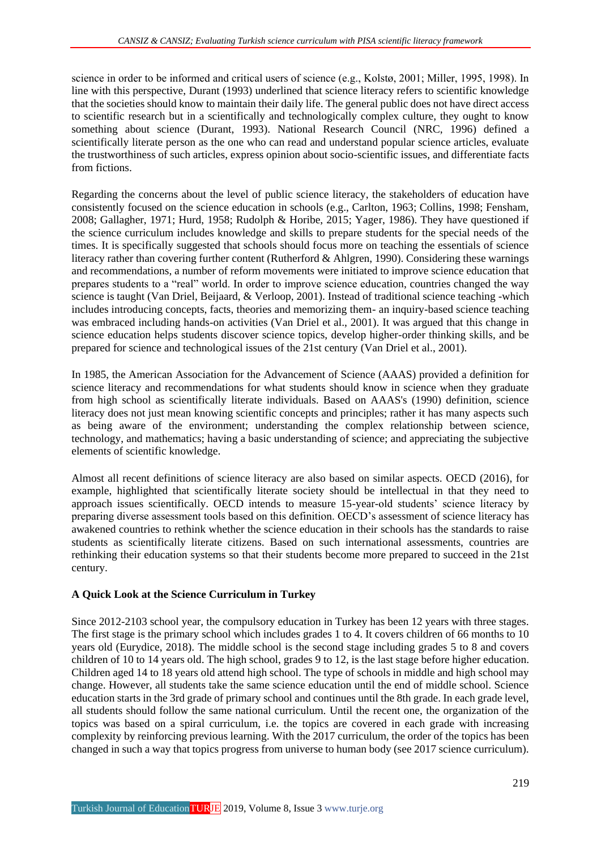science in order to be informed and critical users of science (e.g., Kolstø, 2001; Miller, 1995, 1998). In line with this perspective, Durant (1993) underlined that science literacy refers to scientific knowledge that the societies should know to maintain their daily life. The general public does not have direct access to scientific research but in a scientifically and technologically complex culture, they ought to know something about science (Durant, 1993). National Research Council (NRC, 1996) defined a scientifically literate person as the one who can read and understand popular science articles, evaluate the trustworthiness of such articles, express opinion about socio-scientific issues, and differentiate facts from fictions.

Regarding the concerns about the level of public science literacy, the stakeholders of education have consistently focused on the science education in schools (e.g., Carlton, 1963; Collins, 1998; Fensham, 2008; Gallagher, 1971; Hurd, 1958; Rudolph & Horibe, 2015; Yager, 1986). They have questioned if the science curriculum includes knowledge and skills to prepare students for the special needs of the times. It is specifically suggested that schools should focus more on teaching the essentials of science literacy rather than covering further content (Rutherford & Ahlgren, 1990). Considering these warnings and recommendations, a number of reform movements were initiated to improve science education that prepares students to a "real" world. In order to improve science education, countries changed the way science is taught (Van Driel, Beijaard, & Verloop, 2001). Instead of traditional science teaching -which includes introducing concepts, facts, theories and memorizing them- an inquiry-based science teaching was embraced including hands-on activities (Van Driel et al., 2001). It was argued that this change in science education helps students discover science topics, develop higher-order thinking skills, and be prepared for science and technological issues of the 21st century (Van Driel et al., 2001).

In 1985, the American Association for the Advancement of Science (AAAS) provided a definition for science literacy and recommendations for what students should know in science when they graduate from high school as scientifically literate individuals. Based on AAAS's (1990) definition, science literacy does not just mean knowing scientific concepts and principles; rather it has many aspects such as being aware of the environment; understanding the complex relationship between science, technology, and mathematics; having a basic understanding of science; and appreciating the subjective elements of scientific knowledge.

Almost all recent definitions of science literacy are also based on similar aspects. OECD (2016), for example, highlighted that scientifically literate society should be intellectual in that they need to approach issues scientifically. OECD intends to measure 15-year-old students' science literacy by preparing diverse assessment tools based on this definition. OECD's assessment of science literacy has awakened countries to rethink whether the science education in their schools has the standards to raise students as scientifically literate citizens. Based on such international assessments, countries are rethinking their education systems so that their students become more prepared to succeed in the 21st century.

## **A Quick Look at the Science Curriculum in Turkey**

Since 2012-2103 school year, the compulsory education in Turkey has been 12 years with three stages. The first stage is the primary school which includes grades 1 to 4. It covers children of 66 months to 10 years old (Eurydice, 2018). The middle school is the second stage including grades 5 to 8 and covers children of 10 to 14 years old. The high school, grades 9 to 12, is the last stage before higher education. Children aged 14 to 18 years old attend high school. The type of schools in middle and high school may change. However, all students take the same science education until the end of middle school. Science education starts in the 3rd grade of primary school and continues until the 8th grade. In each grade level, all students should follow the same national curriculum. Until the recent one, the organization of the topics was based on a spiral curriculum, i.e. the topics are covered in each grade with increasing complexity by reinforcing previous learning. With the 2017 curriculum, the order of the topics has been changed in such a way that topics progress from universe to human body (see 2017 science curriculum).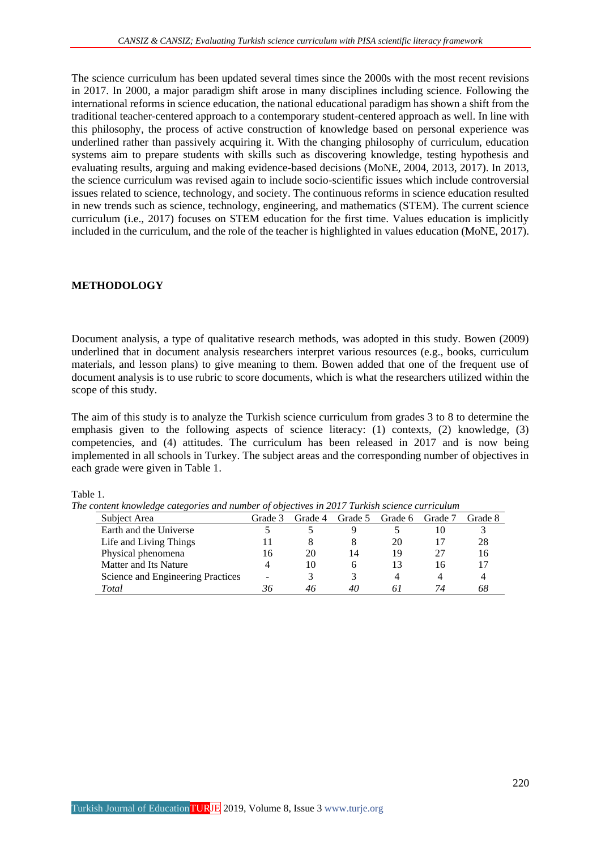The science curriculum has been updated several times since the 2000s with the most recent revisions in 2017. In 2000, a major paradigm shift arose in many disciplines including science. Following the international reforms in science education, the national educational paradigm has shown a shift from the traditional teacher-centered approach to a contemporary student-centered approach as well. In line with this philosophy, the process of active construction of knowledge based on personal experience was underlined rather than passively acquiring it. With the changing philosophy of curriculum, education systems aim to prepare students with skills such as discovering knowledge, testing hypothesis and evaluating results, arguing and making evidence-based decisions (MoNE, 2004, 2013, 2017). In 2013, the science curriculum was revised again to include socio-scientific issues which include controversial issues related to science, technology, and society. The continuous reforms in science education resulted in new trends such as science, technology, engineering, and mathematics (STEM). The current science curriculum (i.e., 2017) focuses on STEM education for the first time. Values education is implicitly included in the curriculum, and the role of the teacher is highlighted in values education (MoNE, 2017).

#### **METHODOLOGY**

Document analysis, a type of qualitative research methods, was adopted in this study. Bowen (2009) underlined that in document analysis researchers interpret various resources (e.g., books, curriculum materials, and lesson plans) to give meaning to them. Bowen added that one of the frequent use of document analysis is to use rubric to score documents, which is what the researchers utilized within the scope of this study.

The aim of this study is to analyze the Turkish science curriculum from grades 3 to 8 to determine the emphasis given to the following aspects of science literacy: (1) contexts, (2) knowledge, (3) competencies, and (4) attitudes. The curriculum has been released in 2017 and is now being implemented in all schools in Turkey. The subject areas and the corresponding number of objectives in each grade were given in Table 1.

| onieni knowiedze calegories ana number of objectives in 2017 Turkish science curriculum |         |         |              |         |         |         |
|-----------------------------------------------------------------------------------------|---------|---------|--------------|---------|---------|---------|
| Subject Area                                                                            | Grade 3 | Grade 4 | Grade 5      | Grade 6 | Grade 7 | Grade 8 |
| Earth and the Universe                                                                  |         |         |              |         |         |         |
| Life and Living Things                                                                  |         |         |              | 20      |         | 28      |
| Physical phenomena                                                                      | 16      | 20      | 14           | 19      | 27      | 16      |
| Matter and Its Nature                                                                   |         | 10      | <sub>0</sub> | 13      | Iб      |         |
| Science and Engineering Practices                                                       |         |         |              |         |         |         |
| Total                                                                                   | 36      | 46      | 40           | 61      | 74      | 68      |

Table 1.

*The content knowledge categories and number of objectives in 2017 Turkish science curriculum*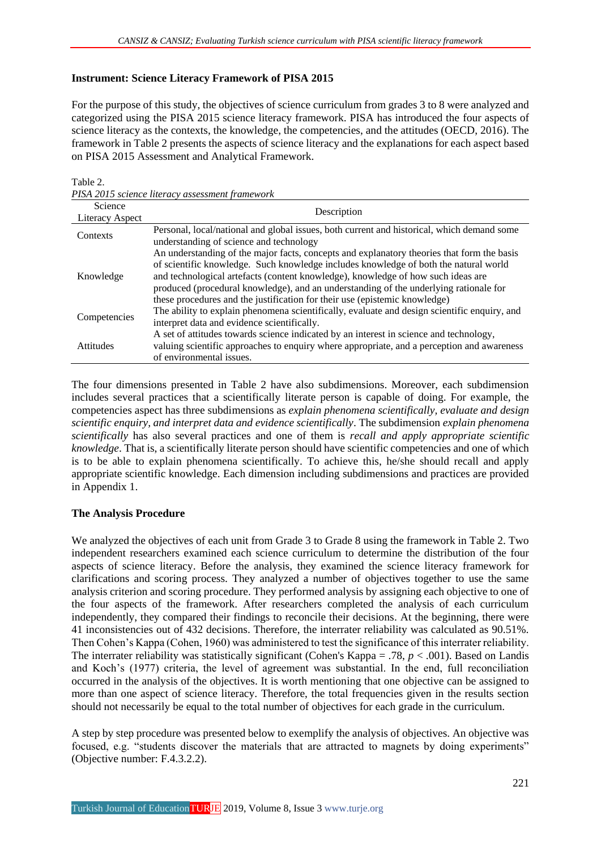## **Instrument: Science Literacy Framework of PISA 2015**

For the purpose of this study, the objectives of science curriculum from grades 3 to 8 were analyzed and categorized using the PISA 2015 science literacy framework. PISA has introduced the four aspects of science literacy as the contexts, the knowledge, the competencies, and the attitudes (OECD, 2016). The framework in Table 2 presents the aspects of science literacy and the explanations for each aspect based on PISA 2015 Assessment and Analytical Framework.

Table 2.

|  |  | PISA 2015 science literacy assessment framework |  |
|--|--|-------------------------------------------------|--|
|  |  |                                                 |  |

| Science<br>Literacy Aspect | Description                                                                                                                                                                                                                                                                                                                                                                                                                                   |
|----------------------------|-----------------------------------------------------------------------------------------------------------------------------------------------------------------------------------------------------------------------------------------------------------------------------------------------------------------------------------------------------------------------------------------------------------------------------------------------|
| Contexts                   | Personal, local/national and global issues, both current and historical, which demand some<br>understanding of science and technology                                                                                                                                                                                                                                                                                                         |
| Knowledge                  | An understanding of the major facts, concepts and explanatory theories that form the basis<br>of scientific knowledge. Such knowledge includes knowledge of both the natural world<br>and technological artefacts (content knowledge), knowledge of how such ideas are<br>produced (procedural knowledge), and an understanding of the underlying rationale for<br>these procedures and the justification for their use (epistemic knowledge) |
| Competencies               | The ability to explain phenomena scientifically, evaluate and design scientific enquiry, and<br>interpret data and evidence scientifically.                                                                                                                                                                                                                                                                                                   |
| <b>Attitudes</b>           | A set of attitudes towards science indicated by an interest in science and technology,<br>valuing scientific approaches to enquiry where appropriate, and a perception and awareness<br>of environmental issues.                                                                                                                                                                                                                              |

The four dimensions presented in Table 2 have also subdimensions. Moreover, each subdimension includes several practices that a scientifically literate person is capable of doing. For example, the competencies aspect has three subdimensions as *explain phenomena scientifically, evaluate and design scientific enquiry, and interpret data and evidence scientifically*. The subdimension *explain phenomena scientifically* has also several practices and one of them is *recall and apply appropriate scientific knowledge*. That is, a scientifically literate person should have scientific competencies and one of which is to be able to explain phenomena scientifically. To achieve this, he/she should recall and apply appropriate scientific knowledge. Each dimension including subdimensions and practices are provided in Appendix 1.

## **The Analysis Procedure**

We analyzed the objectives of each unit from Grade 3 to Grade 8 using the framework in Table 2. Two independent researchers examined each science curriculum to determine the distribution of the four aspects of science literacy. Before the analysis, they examined the science literacy framework for clarifications and scoring process. They analyzed a number of objectives together to use the same analysis criterion and scoring procedure. They performed analysis by assigning each objective to one of the four aspects of the framework. After researchers completed the analysis of each curriculum independently, they compared their findings to reconcile their decisions. At the beginning, there were 41 inconsistencies out of 432 decisions. Therefore, the interrater reliability was calculated as 90.51%. Then Cohen's Kappa (Cohen, 1960) was administered to test the significance of this interrater reliability. The interrater reliability was statistically significant (Cohen's Kappa = .78, *p* < .001). Based on Landis and Koch's (1977) criteria, the level of agreement was substantial. In the end, full reconciliation occurred in the analysis of the objectives. It is worth mentioning that one objective can be assigned to more than one aspect of science literacy. Therefore, the total frequencies given in the results section should not necessarily be equal to the total number of objectives for each grade in the curriculum.

A step by step procedure was presented below to exemplify the analysis of objectives. An objective was focused, e.g. "students discover the materials that are attracted to magnets by doing experiments" (Objective number: F.4.3.2.2).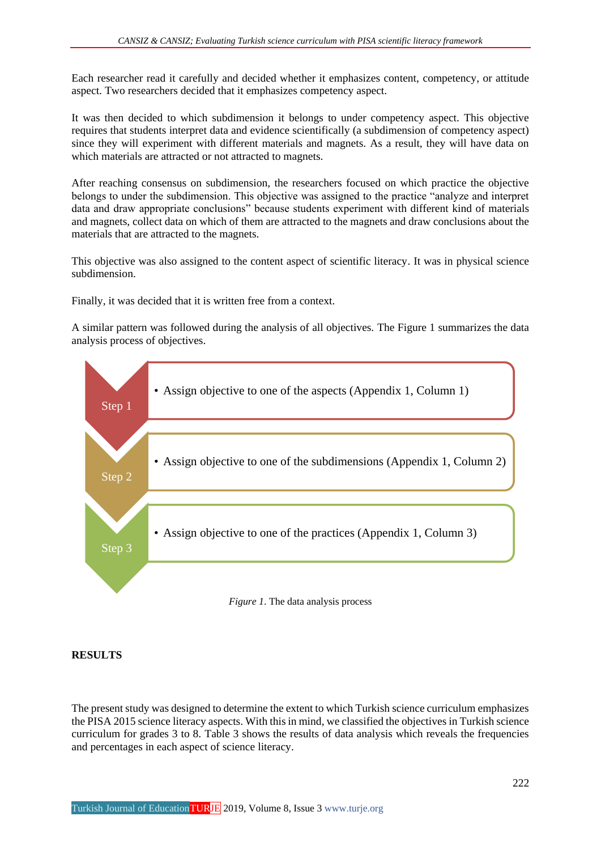Each researcher read it carefully and decided whether it emphasizes content, competency, or attitude aspect. Two researchers decided that it emphasizes competency aspect.

It was then decided to which subdimension it belongs to under competency aspect. This objective requires that students interpret data and evidence scientifically (a subdimension of competency aspect) since they will experiment with different materials and magnets. As a result, they will have data on which materials are attracted or not attracted to magnets.

After reaching consensus on subdimension, the researchers focused on which practice the objective belongs to under the subdimension. This objective was assigned to the practice "analyze and interpret data and draw appropriate conclusions" because students experiment with different kind of materials and magnets, collect data on which of them are attracted to the magnets and draw conclusions about the materials that are attracted to the magnets.

This objective was also assigned to the content aspect of scientific literacy. It was in physical science subdimension.

Finally, it was decided that it is written free from a context.

A similar pattern was followed during the analysis of all objectives. The Figure 1 summarizes the data analysis process of objectives.



#### **RESULTS**

The present study was designed to determine the extent to which Turkish science curriculum emphasizes the PISA 2015 science literacy aspects. With this in mind, we classified the objectives in Turkish science curriculum for grades 3 to 8. Table 3 shows the results of data analysis which reveals the frequencies and percentages in each aspect of science literacy.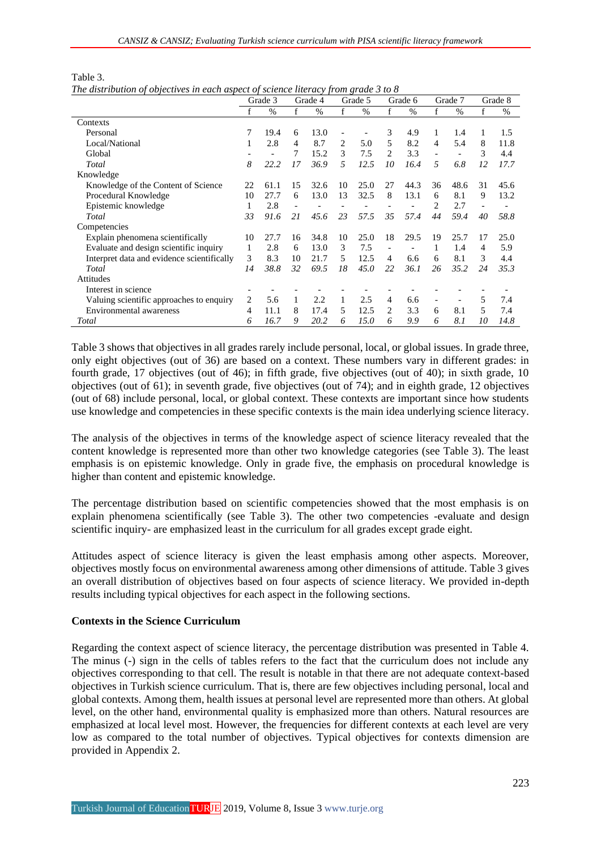|                                            |    | Grade 3       |    | Grade 4       |    | Grade 5 |                | Grade 6       |    | Grade 7       |    | Grade 8       |
|--------------------------------------------|----|---------------|----|---------------|----|---------|----------------|---------------|----|---------------|----|---------------|
|                                            |    | $\frac{0}{0}$ | f  | $\frac{0}{0}$ | f  | $\%$    | f              | $\frac{0}{0}$ | f  | $\frac{0}{0}$ | f  | $\frac{0}{0}$ |
| Contexts                                   |    |               |    |               |    |         |                |               |    |               |    |               |
| Personal                                   |    | 19.4          | 6  | 13.0          |    |         | 3              | 4.9           |    | 1.4           |    | 1.5           |
| Local/National                             |    | 2.8           | 4  | 8.7           | 2  | 5.0     | 5              | 8.2           | 4  | 5.4           | 8  | 11.8          |
| Global                                     |    |               | 7  | 15.2          | 3  | 7.5     | $\mathfrak{D}$ | 3.3           |    |               | 3  | 4.4           |
| Total                                      | 8  | 22.2          | 17 | 36.9          | 5  | 12.5    | 10             | 16.4          | 5  | 6.8           | 12 | 17.7          |
| Knowledge                                  |    |               |    |               |    |         |                |               |    |               |    |               |
| Knowledge of the Content of Science        | 22 | 61.1          | 15 | 32.6          | 10 | 25.0    | 27             | 44.3          | 36 | 48.6          | 31 | 45.6          |
| Procedural Knowledge                       | 10 | 27.7          | 6  | 13.0          | 13 | 32.5    | 8              | 13.1          | 6  | 8.1           | 9  | 13.2          |
| Epistemic knowledge                        |    | 2.8           |    |               |    |         |                |               |    | 2.7           |    |               |
| Total                                      | 33 | 91.6          | 21 | 45.6          | 23 | 57.5    | 35             | 57.4          | 44 | 59.4          | 40 | 58.8          |
| Competencies                               |    |               |    |               |    |         |                |               |    |               |    |               |
| Explain phenomena scientifically           | 10 | 27.7          | 16 | 34.8          | 10 | 25.0    | 18             | 29.5          | 19 | 25.7          | 17 | 25.0          |
| Evaluate and design scientific inquiry     | 1  | 2.8           | 6  | 13.0          | 3  | 7.5     |                |               |    | 1.4           | 4  | 5.9           |
| Interpret data and evidence scientifically | 3  | 8.3           | 10 | 21.7          | 5  | 12.5    | 4              | 6.6           | 6  | 8.1           | 3  | 4.4           |
| Total                                      | 14 | 38.8          | 32 | 69.5          | 18 | 45.0    | 22             | 36.1          | 26 | 35.2          | 24 | 35.3          |
| Attitudes                                  |    |               |    |               |    |         |                |               |    |               |    |               |
| Interest in science                        |    |               |    |               |    |         |                |               |    |               |    |               |
| Valuing scientific approaches to enquiry   | 2  | 5.6           |    | 2.2           | 1  | 2.5     | 4              | 6.6           |    |               | 5  | 7.4           |
| Environmental awareness                    | 4  | 11.1          | 8  | 17.4          | 5  | 12.5    | 2.             | 3.3           | 6  | 8.1           | 5  | 7.4           |
| Total                                      | 6  | 16.7          | 9  | 20.2          | 6  | 15.0    | 6              | 9.9           | 6  | 8.1           | 10 | 14.8          |

| Table 3.                                                                            |  |  |
|-------------------------------------------------------------------------------------|--|--|
| The distribution of objectives in each aspect of science literacy from grade 3 to 8 |  |  |

Table 3 shows that objectives in all grades rarely include personal, local, or global issues. In grade three, only eight objectives (out of 36) are based on a context. These numbers vary in different grades: in fourth grade, 17 objectives (out of 46); in fifth grade, five objectives (out of 40); in sixth grade, 10 objectives (out of 61); in seventh grade, five objectives (out of 74); and in eighth grade, 12 objectives (out of 68) include personal, local, or global context. These contexts are important since how students use knowledge and competencies in these specific contexts is the main idea underlying science literacy.

The analysis of the objectives in terms of the knowledge aspect of science literacy revealed that the content knowledge is represented more than other two knowledge categories (see Table 3). The least emphasis is on epistemic knowledge. Only in grade five, the emphasis on procedural knowledge is higher than content and epistemic knowledge.

The percentage distribution based on scientific competencies showed that the most emphasis is on explain phenomena scientifically (see Table 3). The other two competencies -evaluate and design scientific inquiry- are emphasized least in the curriculum for all grades except grade eight.

Attitudes aspect of science literacy is given the least emphasis among other aspects. Moreover, objectives mostly focus on environmental awareness among other dimensions of attitude. Table 3 gives an overall distribution of objectives based on four aspects of science literacy. We provided in-depth results including typical objectives for each aspect in the following sections.

## **Contexts in the Science Curriculum**

Regarding the context aspect of science literacy, the percentage distribution was presented in Table 4. The minus (-) sign in the cells of tables refers to the fact that the curriculum does not include any objectives corresponding to that cell. The result is notable in that there are not adequate context-based objectives in Turkish science curriculum. That is, there are few objectives including personal, local and global contexts. Among them, health issues at personal level are represented more than others. At global level, on the other hand, environmental quality is emphasized more than others. Natural resources are emphasized at local level most. However, the frequencies for different contexts at each level are very low as compared to the total number of objectives. Typical objectives for contexts dimension are provided in Appendix 2.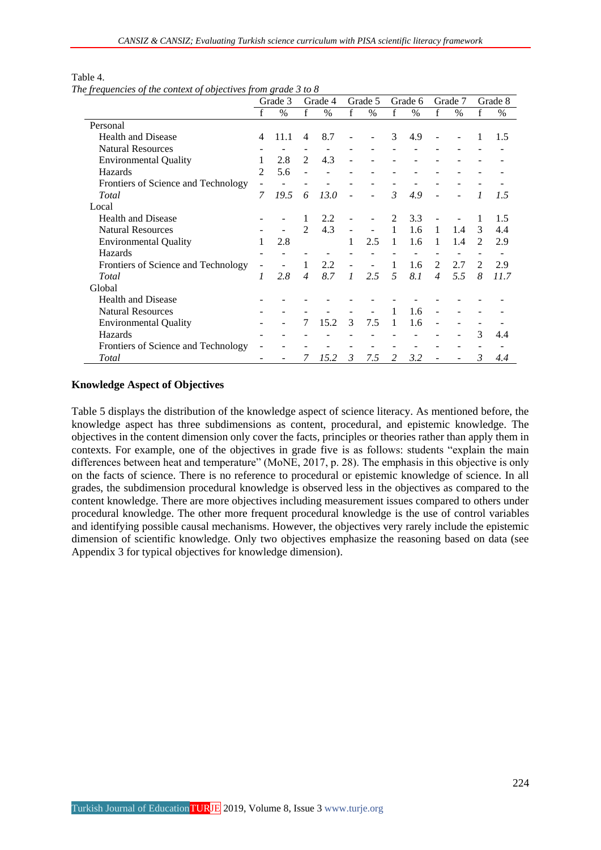|                                     |                | Grade 3 |                             | Grade 4       |                          | Grade 5 |                | Grade 6 |                | Grade 7       |                | Grade 8 |
|-------------------------------------|----------------|---------|-----------------------------|---------------|--------------------------|---------|----------------|---------|----------------|---------------|----------------|---------|
|                                     |                | $\%$    | f                           | $\frac{0}{0}$ | f                        | $\%$    | f              | $\%$    | f              | $\frac{0}{0}$ | f              | $\%$    |
| Personal                            |                |         |                             |               |                          |         |                |         |                |               |                |         |
| Health and Disease                  | $\overline{4}$ | 11.1    | $\overline{4}$              | 8.7           |                          |         | 3              | 4.9     |                |               | 1              | 1.5     |
| <b>Natural Resources</b>            |                |         |                             |               |                          |         |                |         |                |               |                |         |
| <b>Environmental Quality</b>        | 1              | 2.8     | 2                           | 4.3           |                          |         |                |         |                |               |                |         |
| Hazards                             | $\mathfrak{D}$ | 5.6     |                             |               |                          |         |                |         |                |               |                |         |
| Frontiers of Science and Technology |                |         |                             |               |                          |         |                |         |                |               |                |         |
| Total                               | 7              | 19.5    | 6                           | 13.0          |                          |         | $\mathcal{E}$  | 4.9     |                |               | 1              | 1.5     |
| Local                               |                |         |                             |               |                          |         |                |         |                |               |                |         |
| <b>Health and Disease</b>           |                |         | 1                           | 2.2           |                          |         | $\mathfrak{D}$ | 3.3     |                |               | 1              | 1.5     |
| <b>Natural Resources</b>            |                |         | $\mathcal{D}_{\mathcal{L}}$ | 4.3           | $\blacksquare$           |         | 1              | 1.6     | $\mathbf{1}$   | 1.4           | 3              | 4.4     |
| <b>Environmental Quality</b>        | 1              | 2.8     |                             |               | 1                        | 2.5     | 1              | 1.6     | 1              | 1.4           | $\mathfrak{D}$ | 2.9     |
| Hazards                             |                |         |                             |               |                          |         |                |         |                |               |                |         |
| Frontiers of Science and Technology |                |         | 1                           | 2.2           | $\overline{\phantom{m}}$ |         | 1              | 1.6     | $\mathfrak{D}$ | 2.7           | $\mathcal{L}$  | 2.9     |
| Total                               | 1              | 2.8     | $\overline{\mathcal{A}}$    | 8.7           | $\mathcal{I}$            | 2.5     | $\overline{5}$ | 8.1     | $\overline{4}$ | 5.5           | 8              | 11.7    |
| Global                              |                |         |                             |               |                          |         |                |         |                |               |                |         |
| <b>Health and Disease</b>           |                |         |                             |               |                          |         |                |         |                |               |                |         |
| <b>Natural Resources</b>            |                |         |                             |               |                          |         | 1              | 1.6     |                |               |                |         |
| <b>Environmental Quality</b>        |                |         | 7                           | 15.2          | 3                        | 7.5     | 1              | 1.6     |                |               |                |         |
| Hazards                             |                |         |                             |               |                          |         |                |         |                |               | 3              | 4.4     |
| Frontiers of Science and Technology |                |         |                             |               |                          |         |                |         |                |               |                |         |
| Total                               |                |         | 7                           | 15.2          | 3                        | 7.5     | $\mathcal{L}$  | 3.2     |                |               | 3              | 4.4     |

## Table 4.

*The frequencies of the context of objectives from grade 3 to 8*

#### **Knowledge Aspect of Objectives**

Table 5 displays the distribution of the knowledge aspect of science literacy. As mentioned before, the knowledge aspect has three subdimensions as content, procedural, and epistemic knowledge. The objectives in the content dimension only cover the facts, principles or theories rather than apply them in contexts. For example, one of the objectives in grade five is as follows: students "explain the main differences between heat and temperature" (MoNE, 2017, p. 28). The emphasis in this objective is only on the facts of science. There is no reference to procedural or epistemic knowledge of science. In all grades, the subdimension procedural knowledge is observed less in the objectives as compared to the content knowledge. There are more objectives including measurement issues compared to others under procedural knowledge. The other more frequent procedural knowledge is the use of control variables and identifying possible causal mechanisms. However, the objectives very rarely include the epistemic dimension of scientific knowledge. Only two objectives emphasize the reasoning based on data (see Appendix 3 for typical objectives for knowledge dimension).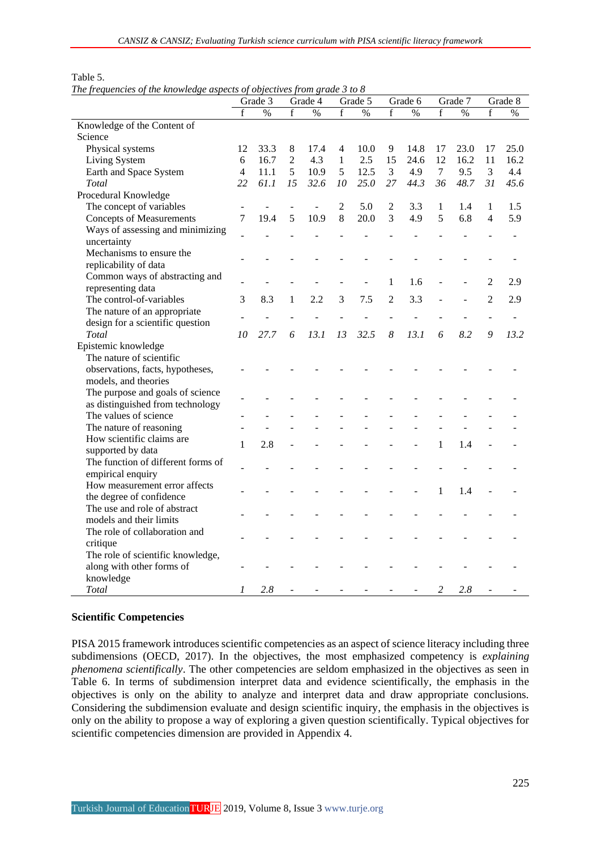|                                    |                | Grade 3 |                | Grade 4 |                | Grade 5 |                | Grade 6 |              | Grade 7 |                | Grade 8                  |
|------------------------------------|----------------|---------|----------------|---------|----------------|---------|----------------|---------|--------------|---------|----------------|--------------------------|
|                                    | f              | %       | f              | %       | f              | $\%$    | $\mathbf f$    | $\%$    | f            | $\%$    | $\mathbf f$    | $\%$                     |
| Knowledge of the Content of        |                |         |                |         |                |         |                |         |              |         |                |                          |
| Science                            |                |         |                |         |                |         |                |         |              |         |                |                          |
| Physical systems                   | 12             | 33.3    | 8              | 17.4    | 4              | 10.0    | 9              | 14.8    | 17           | 23.0    | 17             | 25.0                     |
| Living System                      | 6              | 16.7    | $\overline{2}$ | 4.3     | $\mathbf{1}$   | 2.5     | 15             | 24.6    | 12           | 16.2    | 11             | 16.2                     |
| Earth and Space System             | $\overline{4}$ | 11.1    | 5              | 10.9    | 5              | 12.5    | 3              | 4.9     | $\tau$       | 9.5     | 3              | 4.4                      |
| Total                              | 22             | 61.1    | 15             | 32.6    | 10             | 25.0    | 27             | 44.3    | 36           | 48.7    | 31             | 45.6                     |
| Procedural Knowledge               |                |         |                |         |                |         |                |         |              |         |                |                          |
| The concept of variables           |                |         |                |         | $\overline{2}$ | 5.0     | $\overline{2}$ | 3.3     | $\mathbf{1}$ | 1.4     | 1              | 1.5                      |
| <b>Concepts of Measurements</b>    | $\overline{7}$ | 19.4    | 5              | 10.9    | 8              | 20.0    | 3              | 4.9     | 5            | 6.8     | $\overline{4}$ | 5.9                      |
| Ways of assessing and minimizing   |                |         |                |         |                |         |                |         |              |         |                |                          |
| uncertainty                        |                |         |                |         |                |         |                |         |              |         |                | $\overline{\phantom{a}}$ |
| Mechanisms to ensure the           |                |         |                |         |                |         |                |         |              |         |                |                          |
| replicability of data              |                |         |                |         |                |         |                |         |              |         |                |                          |
| Common ways of abstracting and     |                |         |                |         |                |         |                |         |              |         |                |                          |
| representing data                  |                |         |                |         |                |         | 1              | 1.6     |              |         | 2              | 2.9                      |
| The control-of-variables           | 3              | 8.3     | 1              | 2.2     | 3              | 7.5     | $\overline{2}$ | 3.3     |              |         | $\overline{2}$ | 2.9                      |
| The nature of an appropriate       |                |         |                |         |                |         |                |         |              |         |                |                          |
| design for a scientific question   |                |         |                |         |                |         |                |         |              |         |                |                          |
| Total                              | 10             | 27.7    | 6              | 13.1    | 13             | 32.5    | 8              | 13.1    | 6            | 8.2     | 9              | 13.2                     |
| Epistemic knowledge                |                |         |                |         |                |         |                |         |              |         |                |                          |
| The nature of scientific           |                |         |                |         |                |         |                |         |              |         |                |                          |
| observations, facts, hypotheses,   |                |         |                |         |                |         |                |         |              |         |                |                          |
| models, and theories               |                |         |                |         |                |         |                |         |              |         |                |                          |
| The purpose and goals of science   |                |         |                |         |                |         |                |         |              |         |                |                          |
| as distinguished from technology   |                |         |                |         |                |         |                |         |              |         |                |                          |
| The values of science              |                |         |                |         |                |         |                |         |              |         |                |                          |
| The nature of reasoning            |                |         |                |         |                |         |                |         |              |         |                |                          |
| How scientific claims are          | $\mathbf{1}$   | 2.8     |                |         |                |         |                |         | $\mathbf{1}$ | 1.4     |                |                          |
| supported by data                  |                |         |                |         |                |         |                |         |              |         |                |                          |
| The function of different forms of |                |         |                |         |                |         |                |         |              |         |                |                          |
| empirical enquiry                  |                |         |                |         |                |         |                |         |              |         |                |                          |
| How measurement error affects      |                |         |                |         |                |         |                |         | 1            | 1.4     |                |                          |
| the degree of confidence           |                |         |                |         |                |         |                |         |              |         |                |                          |
| The use and role of abstract       |                |         |                |         |                |         |                |         |              |         |                |                          |
| models and their limits            |                |         |                |         |                |         |                |         |              |         |                |                          |
| The role of collaboration and      |                |         |                |         |                |         |                |         |              |         |                |                          |
| critique                           |                |         |                |         |                |         |                |         |              |         |                |                          |
| The role of scientific knowledge,  |                |         |                |         |                |         |                |         |              |         |                |                          |
| along with other forms of          |                |         |                |         |                |         |                |         |              |         |                |                          |
| knowledge                          |                |         |                |         |                |         |                |         |              |         |                |                          |

#### Table 5.

*The frequencies of the knowledge aspects of objectives from grade 3 to 8*

#### **Scientific Competencies**

PISA 2015 framework introduces scientific competencies as an aspect of science literacy including three subdimensions (OECD, 2017). In the objectives, the most emphasized competency is *explaining phenomena scientifically*. The other competencies are seldom emphasized in the objectives as seen in Table 6. In terms of subdimension interpret data and evidence scientifically, the emphasis in the objectives is only on the ability to analyze and interpret data and draw appropriate conclusions. Considering the subdimension evaluate and design scientific inquiry, the emphasis in the objectives is only on the ability to propose a way of exploring a given question scientifically. Typical objectives for scientific competencies dimension are provided in Appendix 4.

*Total 1 2.8 - - - - - - 2 2.8 - -*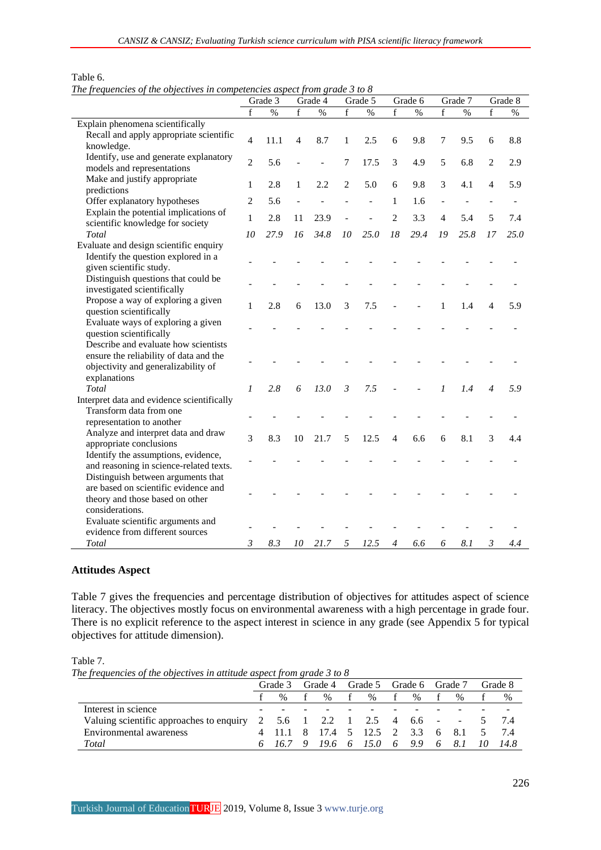|                                                                                                                                  |                | Grade 3 |             | Grade 4 |                | Grade 5 |                | Grade 6 |                | Grade 7 |                | Grade 8 |
|----------------------------------------------------------------------------------------------------------------------------------|----------------|---------|-------------|---------|----------------|---------|----------------|---------|----------------|---------|----------------|---------|
|                                                                                                                                  | f              | $\%$    | $\mathbf f$ | $\%$    | f              | $\%$    | f              | $\%$    | f              | $\%$    | f              | $\%$    |
| Explain phenomena scientifically                                                                                                 |                |         |             |         |                |         |                |         |                |         |                |         |
| Recall and apply appropriate scientific<br>knowledge.                                                                            | $\overline{4}$ | 11.1    | 4           | 8.7     | 1              | 2.5     | 6              | 9.8     | 7              | 9.5     | 6              | 8.8     |
| Identify, use and generate explanatory<br>models and representations                                                             | $\overline{2}$ | 5.6     |             |         | 7              | 17.5    | 3              | 4.9     | 5              | 6.8     | $\overline{c}$ | 2.9     |
| Make and justify appropriate<br>predictions                                                                                      | 1              | 2.8     | 1           | 2.2     | $\overline{2}$ | 5.0     | 6              | 9.8     | 3              | 4.1     | $\overline{4}$ | 5.9     |
| Offer explanatory hypotheses                                                                                                     | $\overline{2}$ | 5.6     |             |         |                |         | 1              | 1.6     |                |         |                |         |
| Explain the potential implications of<br>scientific knowledge for society                                                        | $\mathbf{1}$   | 2.8     | 11          | 23.9    |                |         | $\overline{2}$ | 3.3     | 4              | 5.4     | 5              | 7.4     |
| Total                                                                                                                            | 10             | 27.9    | 16          | 34.8    | 10             | 25.0    | 18             | 29.4    | 19             | 25.8    | 17             | 25.0    |
| Evaluate and design scientific enquiry<br>Identify the question explored in a                                                    |                |         |             |         |                |         |                |         |                |         |                |         |
| given scientific study.<br>Distinguish questions that could be                                                                   |                |         |             |         |                |         |                |         |                |         |                |         |
| investigated scientifically                                                                                                      |                |         |             |         |                |         |                |         |                |         |                |         |
| Propose a way of exploring a given<br>question scientifically                                                                    | $\mathbf{1}$   | 2.8     | 6           | 13.0    | 3              | 7.5     |                |         | 1              | 1.4     | $\overline{4}$ | 5.9     |
| Evaluate ways of exploring a given<br>question scientifically<br>Describe and evaluate how scientists                            |                |         |             |         |                |         |                |         |                |         |                |         |
| ensure the reliability of data and the<br>objectivity and generalizability of                                                    |                |         |             |         |                |         |                |         |                |         |                |         |
| explanations<br>Total                                                                                                            | $\mathcal{I}$  | 2.8     | 6           | 13.0    | $\mathfrak{Z}$ | 7.5     |                |         | $\mathfrak{p}$ | 1.4     | $\overline{4}$ | 5.9     |
| Interpret data and evidence scientifically                                                                                       |                |         |             |         |                |         |                |         |                |         |                |         |
| Transform data from one                                                                                                          |                |         |             |         |                |         |                |         |                |         |                |         |
| representation to another                                                                                                        |                |         |             |         |                |         |                |         |                |         |                |         |
| Analyze and interpret data and draw<br>appropriate conclusions                                                                   | 3              | 8.3     | 10          | 21.7    | 5              | 12.5    | 4              | 6.6     | 6              | 8.1     | 3              | 4.4     |
| Identify the assumptions, evidence,<br>and reasoning in science-related texts.                                                   |                |         |             |         |                |         |                |         |                |         |                |         |
| Distinguish between arguments that<br>are based on scientific evidence and<br>theory and those based on other<br>considerations. |                |         |             |         |                |         |                |         |                |         |                |         |
| Evaluate scientific arguments and<br>evidence from different sources                                                             |                |         |             |         |                |         |                |         |                |         |                |         |
| Total                                                                                                                            | 3              | 8.3     | 10          | 21.7    | 5              | 12.5    | $\overline{4}$ | 6.6     | 6              | 8.1     | $\mathfrak{Z}$ | 4.4     |

### Table 6. *The frequencies of the objectives in competencies aspect from grade 3 to 8*

## **Attitudes Aspect**

Table 7 gives the frequencies and percentage distribution of objectives for attitudes aspect of science literacy. The objectives mostly focus on environmental awareness with a high percentage in grade four. There is no explicit reference to the aspect interest in science in any grade (see Appendix 5 for typical objectives for attitude dimension).

Table 7.

*The frequencies of the objectives in attitude aspect from grade 3 to 8*

|                                          | Grade 3       | Grade 4 |          | Grade 5                   |   | Grade 6 Grade 7 |    |            | Grade 8 |
|------------------------------------------|---------------|---------|----------|---------------------------|---|-----------------|----|------------|---------|
|                                          | $\frac{0}{6}$ | $\%$    |          | $\%$                      |   | $\%$            |    | $\%$       | %       |
| Interest in science                      |               |         |          |                           |   |                 |    |            |         |
| Valuing scientific approaches to enquiry |               |         |          | 2 5.6 1 2.2 1 2.5 4 6.6 - |   |                 |    | $\sim 100$ | -74     |
| Environmental awareness                  |               | 17.4    |          | 5 12.5 2 3.3 6            |   |                 |    | -8.1       | 7.4     |
| Total                                    | 16.7          | 19.6    | $\sim$ 6 | 15.0                      | 6 | 9.9             | -6 | 8.1        | -14.8   |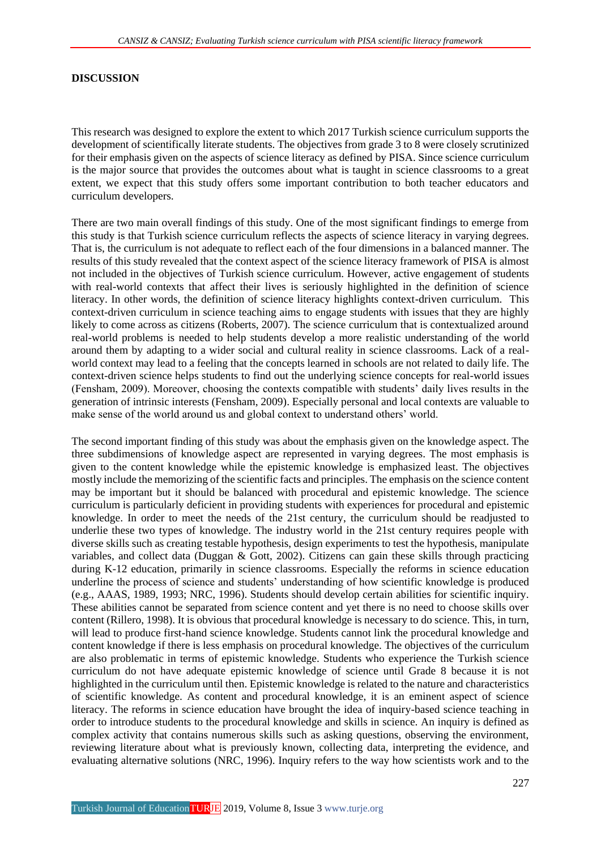#### **DISCUSSION**

This research was designed to explore the extent to which 2017 Turkish science curriculum supports the development of scientifically literate students. The objectives from grade 3 to 8 were closely scrutinized for their emphasis given on the aspects of science literacy as defined by PISA. Since science curriculum is the major source that provides the outcomes about what is taught in science classrooms to a great extent, we expect that this study offers some important contribution to both teacher educators and curriculum developers.

There are two main overall findings of this study. One of the most significant findings to emerge from this study is that Turkish science curriculum reflects the aspects of science literacy in varying degrees. That is, the curriculum is not adequate to reflect each of the four dimensions in a balanced manner. The results of this study revealed that the context aspect of the science literacy framework of PISA is almost not included in the objectives of Turkish science curriculum. However, active engagement of students with real-world contexts that affect their lives is seriously highlighted in the definition of science literacy. In other words, the definition of science literacy highlights context-driven curriculum. This context-driven curriculum in science teaching aims to engage students with issues that they are highly likely to come across as citizens (Roberts, 2007). The science curriculum that is contextualized around real-world problems is needed to help students develop a more realistic understanding of the world around them by adapting to a wider social and cultural reality in science classrooms. Lack of a realworld context may lead to a feeling that the concepts learned in schools are not related to daily life. The context-driven science helps students to find out the underlying science concepts for real-world issues (Fensham, 2009). Moreover, choosing the contexts compatible with students' daily lives results in the generation of intrinsic interests (Fensham, 2009). Especially personal and local contexts are valuable to make sense of the world around us and global context to understand others' world.

The second important finding of this study was about the emphasis given on the knowledge aspect. The three subdimensions of knowledge aspect are represented in varying degrees. The most emphasis is given to the content knowledge while the epistemic knowledge is emphasized least. The objectives mostly include the memorizing of the scientific facts and principles. The emphasis on the science content may be important but it should be balanced with procedural and epistemic knowledge. The science curriculum is particularly deficient in providing students with experiences for procedural and epistemic knowledge. In order to meet the needs of the 21st century, the curriculum should be readjusted to underlie these two types of knowledge. The industry world in the 21st century requires people with diverse skills such as creating testable hypothesis, design experiments to test the hypothesis, manipulate variables, and collect data (Duggan & Gott, 2002). Citizens can gain these skills through practicing during K-12 education, primarily in science classrooms. Especially the reforms in science education underline the process of science and students' understanding of how scientific knowledge is produced (e.g., AAAS, 1989, 1993; NRC, 1996). Students should develop certain abilities for scientific inquiry. These abilities cannot be separated from science content and yet there is no need to choose skills over content (Rillero, 1998). It is obvious that procedural knowledge is necessary to do science. This, in turn, will lead to produce first-hand science knowledge. Students cannot link the procedural knowledge and content knowledge if there is less emphasis on procedural knowledge. The objectives of the curriculum are also problematic in terms of epistemic knowledge. Students who experience the Turkish science curriculum do not have adequate epistemic knowledge of science until Grade 8 because it is not highlighted in the curriculum until then. Epistemic knowledge is related to the nature and characteristics of scientific knowledge. As content and procedural knowledge, it is an eminent aspect of science literacy. The reforms in science education have brought the idea of inquiry-based science teaching in order to introduce students to the procedural knowledge and skills in science. An inquiry is defined as complex activity that contains numerous skills such as asking questions, observing the environment, reviewing literature about what is previously known, collecting data, interpreting the evidence, and evaluating alternative solutions (NRC, 1996). Inquiry refers to the way how scientists work and to the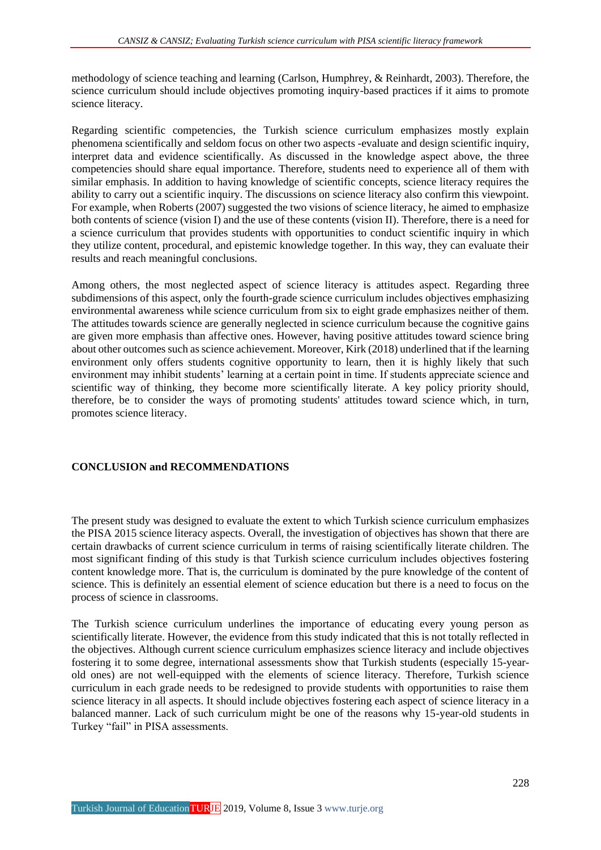methodology of science teaching and learning (Carlson, Humphrey, & Reinhardt, 2003). Therefore, the science curriculum should include objectives promoting inquiry-based practices if it aims to promote science literacy.

Regarding scientific competencies, the Turkish science curriculum emphasizes mostly explain phenomena scientifically and seldom focus on other two aspects -evaluate and design scientific inquiry, interpret data and evidence scientifically. As discussed in the knowledge aspect above, the three competencies should share equal importance. Therefore, students need to experience all of them with similar emphasis. In addition to having knowledge of scientific concepts, science literacy requires the ability to carry out a scientific inquiry. The discussions on science literacy also confirm this viewpoint. For example, when Roberts (2007) suggested the two visions of science literacy, he aimed to emphasize both contents of science (vision I) and the use of these contents (vision II). Therefore, there is a need for a science curriculum that provides students with opportunities to conduct scientific inquiry in which they utilize content, procedural, and epistemic knowledge together. In this way, they can evaluate their results and reach meaningful conclusions.

Among others, the most neglected aspect of science literacy is attitudes aspect. Regarding three subdimensions of this aspect, only the fourth-grade science curriculum includes objectives emphasizing environmental awareness while science curriculum from six to eight grade emphasizes neither of them. The attitudes towards science are generally neglected in science curriculum because the cognitive gains are given more emphasis than affective ones. However, having positive attitudes toward science bring about other outcomes such as science achievement. Moreover, Kirk (2018) underlined that if the learning environment only offers students cognitive opportunity to learn, then it is highly likely that such environment may inhibit students' learning at a certain point in time. If students appreciate science and scientific way of thinking, they become more scientifically literate. A key policy priority should, therefore, be to consider the ways of promoting students' attitudes toward science which, in turn, promotes science literacy.

## **CONCLUSION and RECOMMENDATIONS**

The present study was designed to evaluate the extent to which Turkish science curriculum emphasizes the PISA 2015 science literacy aspects. Overall, the investigation of objectives has shown that there are certain drawbacks of current science curriculum in terms of raising scientifically literate children. The most significant finding of this study is that Turkish science curriculum includes objectives fostering content knowledge more. That is, the curriculum is dominated by the pure knowledge of the content of science. This is definitely an essential element of science education but there is a need to focus on the process of science in classrooms.

The Turkish science curriculum underlines the importance of educating every young person as scientifically literate. However, the evidence from this study indicated that this is not totally reflected in the objectives. Although current science curriculum emphasizes science literacy and include objectives fostering it to some degree, international assessments show that Turkish students (especially 15-yearold ones) are not well-equipped with the elements of science literacy. Therefore, Turkish science curriculum in each grade needs to be redesigned to provide students with opportunities to raise them science literacy in all aspects. It should include objectives fostering each aspect of science literacy in a balanced manner. Lack of such curriculum might be one of the reasons why 15-year-old students in Turkey "fail" in PISA assessments.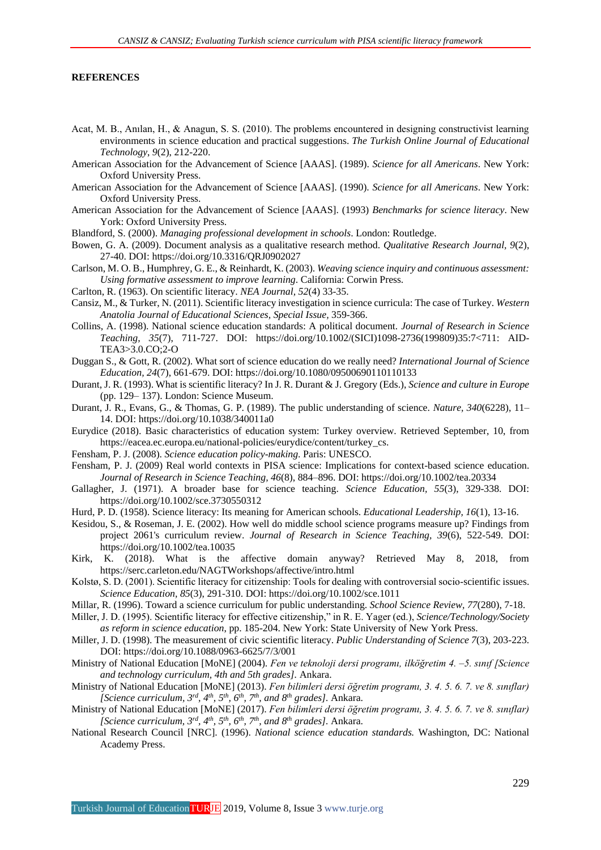#### **REFERENCES**

- Acat, M. B., Anılan, H., & Anagun, S. S. (2010). The problems encountered in designing constructivist learning environments in science education and practical suggestions. *The Turkish Online Journal of Educational Technology*, *9*(2), 212-220.
- American Association for the Advancement of Science [AAAS]. (1989). *Science for all Americans*. New York: Oxford University Press.
- American Association for the Advancement of Science [AAAS]. (1990). *Science for all Americans*. New York: Oxford University Press.
- American Association for the Advancement of Science [AAAS]. (1993) *Benchmarks for science literacy*. New York: Oxford University Press.
- Blandford, S. (2000). *Managing professional development in schools*. London: Routledge.
- Bowen, G. A. (2009). Document analysis as a qualitative research method. *Qualitative Research Journal, 9*(2), 27-40. DOI: https://doi.org/10.3316/QRJ0902027
- Carlson, M. O. B., Humphrey, G. E., & Reinhardt, K. (2003). *Weaving science inquiry and continuous assessment: Using formative assessment to improve learning*. California: Corwin Press.
- Carlton, R. (1963). On scientific literacy. *NEA Journal, 52*(4) 33-35.
- Cansiz, M., & Turker, N. (2011). Scientific literacy investigation in science curricula: The case of Turkey. *Western Anatolia Journal of Educational Sciences, Special Issue,* 359-366.
- Collins, A. (1998). National science education standards: A political document. *Journal of Research in Science Teaching, 35*(7), 711-727. DOI: https://doi.org/10.1002/(SICI)1098-2736(199809)35:7<711: AID-TEA3>3.0.CO;2-O
- Duggan S., & Gott, R. (2002). What sort of science education do we really need? *International Journal of Science Education, 24*(7), 661-679. DOI: https://doi.org/10.1080/09500690110110133
- Durant, J. R. (1993). What is scientific literacy? In J. R. Durant & J. Gregory (Eds.), *Science and culture in Europe* (pp. 129– 137). London: Science Museum.
- Durant, J. R., Evans, G., & Thomas, G. P. (1989). The public understanding of science. *Nature, 340*(6228), 11– 14. DOI: https://doi.org/10.1038/340011a0
- Eurydice (2018). Basic characteristics of education system: Turkey overview. Retrieved September, 10, from https://eacea.ec.europa.eu/national-policies/eurydice/content/turkey\_cs.
- Fensham, P. J. (2008). *Science education policy-making*. Paris: UNESCO.
- Fensham, P. J. (2009) Real world contexts in PISA science: Implications for context-based science education. *Journal of Research in Science Teaching, 46*(8), 884–896. DOI: https://doi.org/10.1002/tea.20334
- Gallagher, J. (1971). A broader base for science teaching. *Science Education, 55*(3), 329-338. DOI: https://doi.org/10.1002/sce.3730550312
- Hurd, P. D. (1958). Science literacy: Its meaning for American schools. *Educational Leadership, 16*(1), 13-16.
- Kesidou, S., & Roseman, J. E. (2002). How well do middle school science programs measure up? Findings from project 2061's curriculum review. *Journal of Research in Science Teaching, 39*(6), 522-549. DOI: https://doi.org/10.1002/tea.10035
- Kirk, K. (2018). What is the affective domain anyway? Retrieved May 8, 2018, from https://serc.carleton.edu/NAGTWorkshops/affective/intro.html
- Kolstø, S. D. (2001). Scientific literacy for citizenship: Tools for dealing with controversial socio-scientific issues. *Science Education, 85*(3), 291-310. DOI: https://doi.org/10.1002/sce.1011
- Millar, R. (1996). Toward a science curriculum for public understanding. *School Science Review, 77*(280), 7-18.
- Miller, J. D. (1995). Scientific literacy for effective citizenship," in R. E. Yager (ed.), *Science/Technology/Society as reform in science education*, pp. 185-204. New York: State University of New York Press.
- Miller, J. D. (1998). The measurement of civic scientific literacy. *Public Understanding of Science 7*(3), 203-223. DOI: https://doi.org/10.1088/0963-6625/7/3/001
- Ministry of National Education [MoNE] (2004). *Fen ve teknoloji dersi programı, ilköğretim 4. –5. sınıf [Science and technology curriculum, 4th and 5th grades].* Ankara.
- Ministry of National Education [MoNE] (2013). *Fen bilimleri dersi öğretim programı, 3. 4. 5. 6. 7. ve 8. sınıflar) [Science curriculum, 3rd, 4th, 5th, 6th, 7th, and 8th grades].* Ankara.
- Ministry of National Education [MoNE] (2017). *Fen bilimleri dersi öğretim programı, 3. 4. 5. 6. 7. ve 8. sınıflar) [Science curriculum, 3rd, 4th, 5th, 6th, 7th, and 8th grades].* Ankara.
- National Research Council [NRC]. (1996). *National science education standards.* Washington, DC: National Academy Press.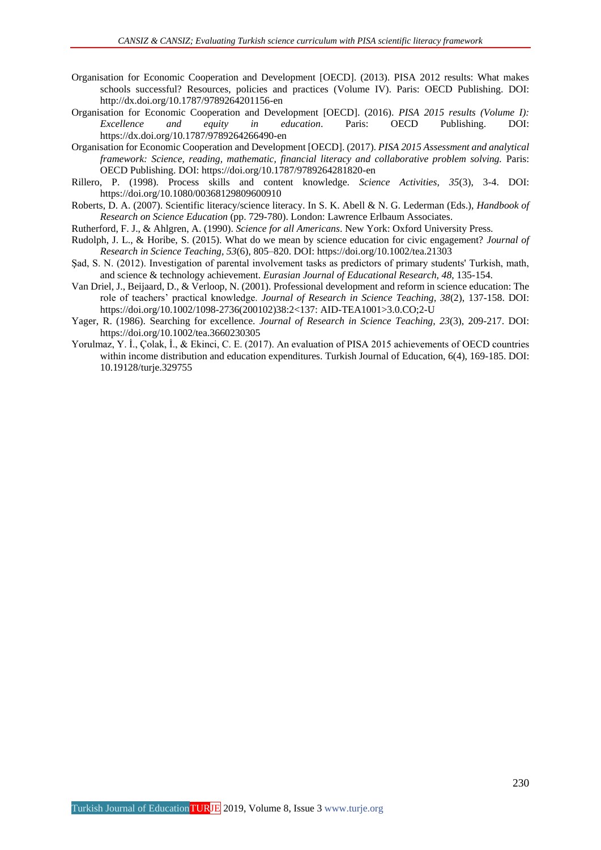- Organisation for Economic Cooperation and Development [OECD]. (2013). PISA 2012 results: What makes schools successful? Resources, policies and practices (Volume IV). Paris: OECD Publishing. DOI: http://dx.doi.org/10.1787/9789264201156-en
- Organisation for Economic Cooperation and Development [OECD]. (2016). *PISA 2015 results (Volume I): Excellence and equity in education*. Paris: OECD Publishing. DOI: https://dx.doi.org/10.1787/9789264266490-en
- Organisation for Economic Cooperation and Development [OECD]. (2017). *PISA 2015 Assessment and analytical framework: Science, reading, mathematic, financial literacy and collaborative problem solving.* Paris: OECD Publishing. DOI: https://doi.org/10.1787/9789264281820-en
- Rillero, P. (1998). Process skills and content knowledge. *Science Activities, 35*(3), 3-4. DOI: https://doi.org/10.1080/00368129809600910
- Roberts, D. A. (2007). Scientific literacy/science literacy. In S. K. Abell & N. G. Lederman (Eds.), *Handbook of Research on Science Education* (pp. 729-780). London: Lawrence Erlbaum Associates.
- Rutherford, F. J., & Ahlgren, A. (1990). *Science for all Americans*. New York: Oxford University Press.
- Rudolph, J. L., & Horibe, S. (2015). What do we mean by science education for civic engagement? *Journal of Research in Science Teaching, 53*(6), 805–820. DOI: https://doi.org/10.1002/tea.21303
- Sad, S. N. (2012). Investigation of parental involvement tasks as predictors of primary students' Turkish, math, and science & technology achievement. *Eurasian Journal of Educational Research*, *48*, 135-154.
- Van Driel, J., Beijaard, D., & Verloop, N. (2001). Professional development and reform in science education: The role of teachers' practical knowledge. *Journal of Research in Science Teaching, 38*(2), 137-158. DOI: https://doi.org/10.1002/1098-2736(200102)38:2<137: AID-TEA1001>3.0.CO;2-U
- Yager, R. (1986). Searching for excellence. *Journal of Research in Science Teaching, 23*(3), 209-217. DOI: https://doi.org/10.1002/tea.3660230305
- Yorulmaz, Y. İ., Çolak, İ., & Ekinci, C. E. (2017). An evaluation of PISA 2015 achievements of OECD countries within income distribution and education expenditures. Turkish Journal of Education, 6(4), 169-185. DOI: 10.19128/turje.329755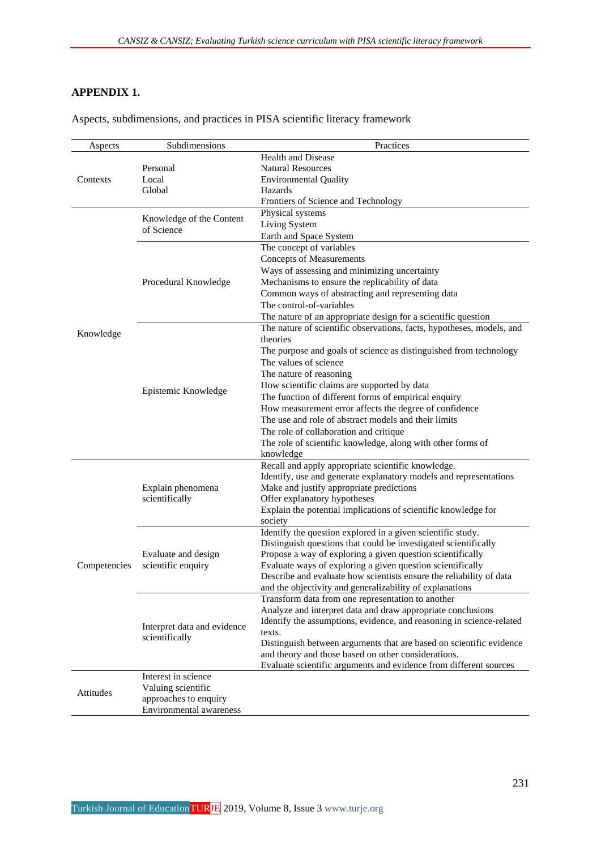## **APPENDIX 1.**

| Aspects, subdimensions, and practices in PISA scientific literacy framework |  |  |  |  |  |  |
|-----------------------------------------------------------------------------|--|--|--|--|--|--|
|-----------------------------------------------------------------------------|--|--|--|--|--|--|

| Aspects      | Subdimensions                  | Practices                                                                                                                  |
|--------------|--------------------------------|----------------------------------------------------------------------------------------------------------------------------|
|              |                                | Health and Disease                                                                                                         |
|              | Personal                       | <b>Natural Resources</b>                                                                                                   |
| Contexts     | Local                          | <b>Environmental Quality</b>                                                                                               |
|              | Global                         | Hazards                                                                                                                    |
|              |                                | Frontiers of Science and Technology                                                                                        |
|              |                                | Physical systems                                                                                                           |
|              | Knowledge of the Content       | Living System                                                                                                              |
|              | of Science                     | Earth and Space System                                                                                                     |
|              |                                | The concept of variables                                                                                                   |
|              |                                | <b>Concepts of Measurements</b>                                                                                            |
|              |                                | Ways of assessing and minimizing uncertainty                                                                               |
|              | Procedural Knowledge           | Mechanisms to ensure the replicability of data                                                                             |
|              |                                | Common ways of abstracting and representing data                                                                           |
|              |                                | The control-of-variables                                                                                                   |
|              |                                | The nature of an appropriate design for a scientific question                                                              |
|              |                                | The nature of scientific observations, facts, hypotheses, models, and                                                      |
| Knowledge    |                                | theories                                                                                                                   |
|              |                                | The purpose and goals of science as distinguished from technology                                                          |
|              |                                | The values of science                                                                                                      |
|              |                                | The nature of reasoning                                                                                                    |
|              |                                |                                                                                                                            |
|              | Epistemic Knowledge            | How scientific claims are supported by data                                                                                |
|              |                                | The function of different forms of empirical enquiry                                                                       |
|              |                                | How measurement error affects the degree of confidence                                                                     |
|              |                                | The use and role of abstract models and their limits                                                                       |
|              |                                | The role of collaboration and critique                                                                                     |
|              |                                | The role of scientific knowledge, along with other forms of                                                                |
|              |                                | knowledge                                                                                                                  |
|              |                                | Recall and apply appropriate scientific knowledge.                                                                         |
|              |                                | Identify, use and generate explanatory models and representations                                                          |
|              | Explain phenomena              | Make and justify appropriate predictions                                                                                   |
|              | scientifically                 | Offer explanatory hypotheses                                                                                               |
|              |                                | Explain the potential implications of scientific knowledge for                                                             |
|              |                                | society                                                                                                                    |
|              |                                | Identify the question explored in a given scientific study.                                                                |
|              |                                | Distinguish questions that could be investigated scientifically                                                            |
|              | Evaluate and design            | Propose a way of exploring a given question scientifically                                                                 |
| Competencies | scientific enquiry             | Evaluate ways of exploring a given question scientifically                                                                 |
|              |                                | Describe and evaluate how scientists ensure the reliability of data                                                        |
|              |                                | and the objectivity and generalizability of explanations                                                                   |
|              |                                | Transform data from one representation to another                                                                          |
|              |                                | Analyze and interpret data and draw appropriate conclusions                                                                |
|              | Interpret data and evidence    | Identify the assumptions, evidence, and reasoning in science-related                                                       |
|              | scientifically                 | texts.                                                                                                                     |
|              |                                | Distinguish between arguments that are based on scientific evidence<br>and theory and those based on other considerations. |
|              |                                | Evaluate scientific arguments and evidence from different sources                                                          |
|              | Interest in science            |                                                                                                                            |
|              | Valuing scientific             |                                                                                                                            |
| Attitudes    | approaches to enquiry          |                                                                                                                            |
|              | <b>Environmental awareness</b> |                                                                                                                            |
|              |                                |                                                                                                                            |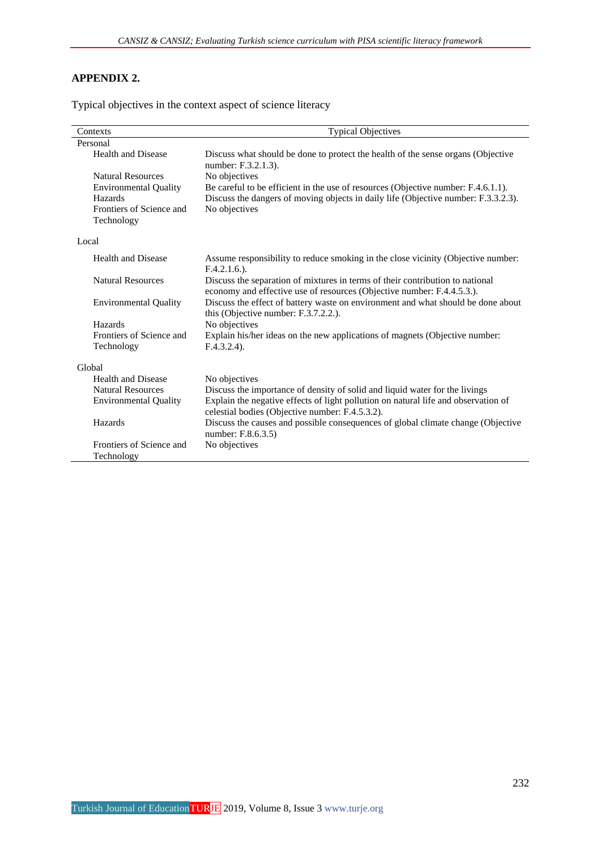## **APPENDIX 2.**

Typical objectives in the context aspect of science literacy

| Contexts                               | <b>Typical Objectives</b>                                                                                                                               |
|----------------------------------------|---------------------------------------------------------------------------------------------------------------------------------------------------------|
| Personal                               |                                                                                                                                                         |
| <b>Health and Disease</b>              | Discuss what should be done to protect the health of the sense organs (Objective<br>number: F.3.2.1.3).                                                 |
| <b>Natural Resources</b>               | No objectives                                                                                                                                           |
| <b>Environmental Quality</b>           | Be careful to be efficient in the use of resources (Objective number: F.4.6.1.1).                                                                       |
| Hazards                                | Discuss the dangers of moving objects in daily life (Objective number: F.3.3.2.3).                                                                      |
| Frontiers of Science and<br>Technology | No objectives                                                                                                                                           |
|                                        |                                                                                                                                                         |
| Local                                  |                                                                                                                                                         |
| <b>Health and Disease</b>              | Assume responsibility to reduce smoking in the close vicinity (Objective number:<br>$F.4.2.1.6.$ ).                                                     |
| <b>Natural Resources</b>               | Discuss the separation of mixtures in terms of their contribution to national<br>economy and effective use of resources (Objective number: F.4.4.5.3.). |
| <b>Environmental Quality</b>           | Discuss the effect of battery waste on environment and what should be done about<br>this (Objective number: F.3.7.2.2.).                                |
| Hazards                                | No objectives                                                                                                                                           |
| Frontiers of Science and               | Explain his/her ideas on the new applications of magnets (Objective number:                                                                             |
| Technology                             | $F.4.3.2.4$ ).                                                                                                                                          |
| Global                                 |                                                                                                                                                         |
| <b>Health and Disease</b>              | No objectives                                                                                                                                           |
| <b>Natural Resources</b>               | Discuss the importance of density of solid and liquid water for the livings                                                                             |
| <b>Environmental Quality</b>           | Explain the negative effects of light pollution on natural life and observation of<br>celestial bodies (Objective number: F.4.5.3.2).                   |
| Hazards                                | Discuss the causes and possible consequences of global climate change (Objective<br>number: F.8.6.3.5)                                                  |
| Frontiers of Science and               | No objectives                                                                                                                                           |
| Technology                             |                                                                                                                                                         |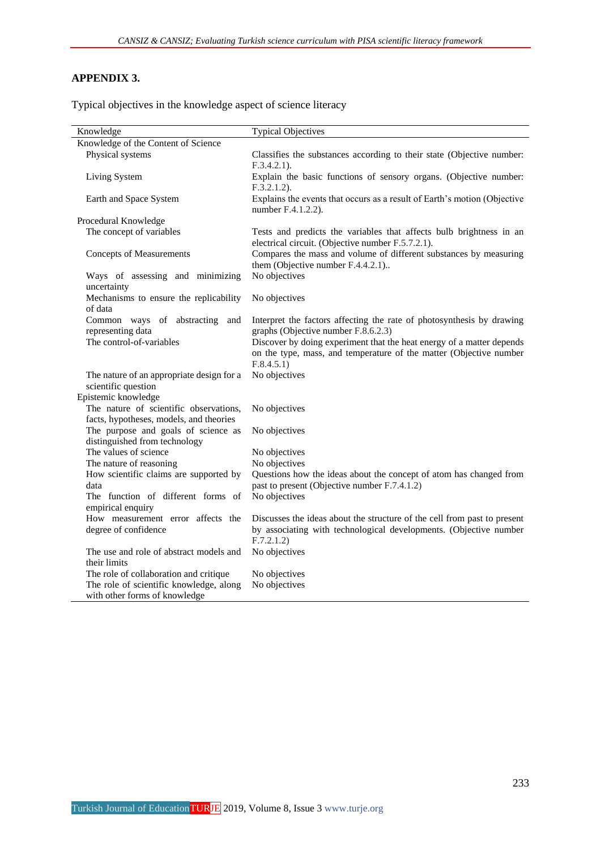## **APPENDIX 3.**

Typical objectives in the knowledge aspect of science literacy

| Knowledge                                               | <b>Typical Objectives</b>                                                                                                |
|---------------------------------------------------------|--------------------------------------------------------------------------------------------------------------------------|
| Knowledge of the Content of Science                     |                                                                                                                          |
| Physical systems                                        | Classifies the substances according to their state (Objective number:                                                    |
|                                                         | $F.3.4.2.1$ ).                                                                                                           |
| Living System                                           | Explain the basic functions of sensory organs. (Objective number:                                                        |
|                                                         | $F.3.2.1.2$ ).                                                                                                           |
| Earth and Space System                                  | Explains the events that occurs as a result of Earth's motion (Objective                                                 |
|                                                         | number F.4.1.2.2).                                                                                                       |
| Procedural Knowledge                                    |                                                                                                                          |
| The concept of variables                                | Tests and predicts the variables that affects bulb brightness in an<br>electrical circuit. (Objective number F.5.7.2.1). |
| <b>Concepts of Measurements</b>                         | Compares the mass and volume of different substances by measuring<br>them (Objective number F.4.4.2.1)                   |
| Ways of assessing and minimizing                        | No objectives                                                                                                            |
| uncertainty                                             |                                                                                                                          |
| Mechanisms to ensure the replicability                  | No objectives                                                                                                            |
| of data                                                 |                                                                                                                          |
| Common ways of abstracting<br>and                       | Interpret the factors affecting the rate of photosynthesis by drawing                                                    |
| representing data                                       | graphs (Objective number F.8.6.2.3)                                                                                      |
| The control-of-variables                                | Discover by doing experiment that the heat energy of a matter depends                                                    |
|                                                         | on the type, mass, and temperature of the matter (Objective number                                                       |
| The nature of an appropriate design for a               | F.8.4.5.1)<br>No objectives                                                                                              |
| scientific question                                     |                                                                                                                          |
| Epistemic knowledge                                     |                                                                                                                          |
| The nature of scientific observations,                  | No objectives                                                                                                            |
| facts, hypotheses, models, and theories                 |                                                                                                                          |
| The purpose and goals of science as                     | No objectives                                                                                                            |
| distinguished from technology                           |                                                                                                                          |
| The values of science                                   | No objectives                                                                                                            |
| The nature of reasoning                                 | No objectives                                                                                                            |
| How scientific claims are supported by                  | Questions how the ideas about the concept of atom has changed from                                                       |
| data                                                    | past to present (Objective number F.7.4.1.2)                                                                             |
| The function of different forms of<br>empirical enquiry | No objectives                                                                                                            |
| How measurement error affects the                       | Discusses the ideas about the structure of the cell from past to present                                                 |
| degree of confidence                                    | by associating with technological developments. (Objective number                                                        |
|                                                         | F.7.2.1.2)                                                                                                               |
| The use and role of abstract models and                 | No objectives                                                                                                            |
| their limits                                            |                                                                                                                          |
| The role of collaboration and critique                  | No objectives                                                                                                            |
| The role of scientific knowledge, along                 | No objectives                                                                                                            |
| with other forms of knowledge                           |                                                                                                                          |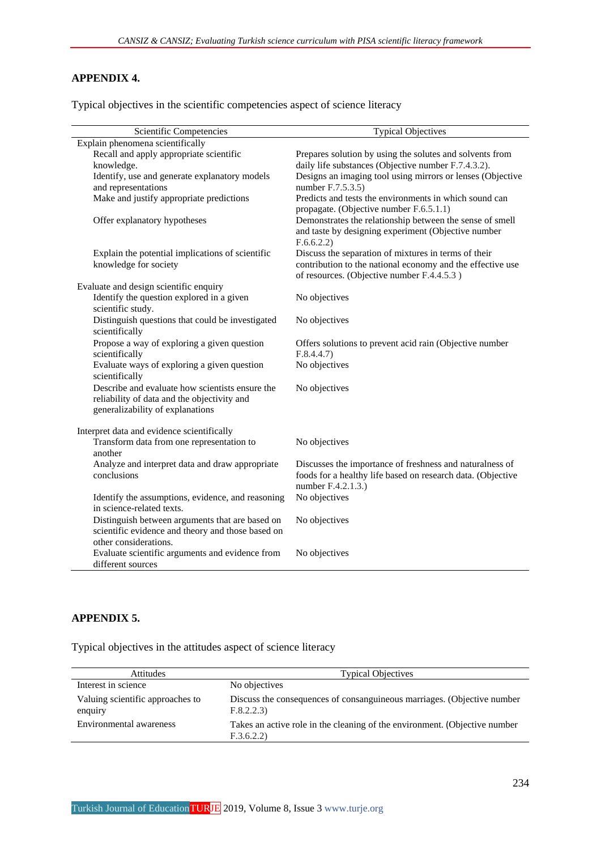## **APPENDIX 4.**

Typical objectives in the scientific competencies aspect of science literacy

| Scientific Competencies                                                                                                            | <b>Typical Objectives</b>                                                                                                                     |
|------------------------------------------------------------------------------------------------------------------------------------|-----------------------------------------------------------------------------------------------------------------------------------------------|
| Explain phenomena scientifically                                                                                                   |                                                                                                                                               |
| Recall and apply appropriate scientific                                                                                            | Prepares solution by using the solutes and solvents from                                                                                      |
| knowledge.                                                                                                                         | daily life substances (Objective number F.7.4.3.2).                                                                                           |
| Identify, use and generate explanatory models                                                                                      | Designs an imaging tool using mirrors or lenses (Objective                                                                                    |
| and representations                                                                                                                | number F.7.5.3.5)                                                                                                                             |
| Make and justify appropriate predictions                                                                                           | Predicts and tests the environments in which sound can<br>propagate. (Objective number F.6.5.1.1)                                             |
| Offer explanatory hypotheses                                                                                                       | Demonstrates the relationship between the sense of smell<br>and taste by designing experiment (Objective number<br>F.6.6.2.2)                 |
| Explain the potential implications of scientific                                                                                   | Discuss the separation of mixtures in terms of their                                                                                          |
| knowledge for society                                                                                                              | contribution to the national economy and the effective use<br>of resources. (Objective number F.4.4.5.3)                                      |
| Evaluate and design scientific enquiry                                                                                             |                                                                                                                                               |
| Identify the question explored in a given<br>scientific study.                                                                     | No objectives                                                                                                                                 |
| Distinguish questions that could be investigated<br>scientifically                                                                 | No objectives                                                                                                                                 |
| Propose a way of exploring a given question                                                                                        | Offers solutions to prevent acid rain (Objective number                                                                                       |
| scientifically                                                                                                                     | F.8.4.4.7                                                                                                                                     |
| Evaluate ways of exploring a given question<br>scientifically                                                                      | No objectives                                                                                                                                 |
| Describe and evaluate how scientists ensure the<br>reliability of data and the objectivity and<br>generalizability of explanations | No objectives                                                                                                                                 |
| Interpret data and evidence scientifically                                                                                         |                                                                                                                                               |
| Transform data from one representation to<br>another                                                                               | No objectives                                                                                                                                 |
| Analyze and interpret data and draw appropriate<br>conclusions                                                                     | Discusses the importance of freshness and naturalness of<br>foods for a healthy life based on research data. (Objective<br>number F.4.2.1.3.) |
| Identify the assumptions, evidence, and reasoning                                                                                  | No objectives                                                                                                                                 |
| in science-related texts.                                                                                                          |                                                                                                                                               |
| Distinguish between arguments that are based on                                                                                    | No objectives                                                                                                                                 |
| scientific evidence and theory and those based on                                                                                  |                                                                                                                                               |
| other considerations.                                                                                                              |                                                                                                                                               |
| Evaluate scientific arguments and evidence from<br>different sources                                                               | No objectives                                                                                                                                 |

## **APPENDIX 5.**

Typical objectives in the attitudes aspect of science literacy

| Attitudes                                   | <b>Typical Objectives</b>                                                                |
|---------------------------------------------|------------------------------------------------------------------------------------------|
| Interest in science                         | No objectives                                                                            |
| Valuing scientific approaches to<br>enquiry | Discuss the consequences of consanguineous marriages. (Objective number<br>F.8.2.2.3)    |
| Environmental awareness                     | Takes an active role in the cleaning of the environment. (Objective number<br>F.3.6.2.2) |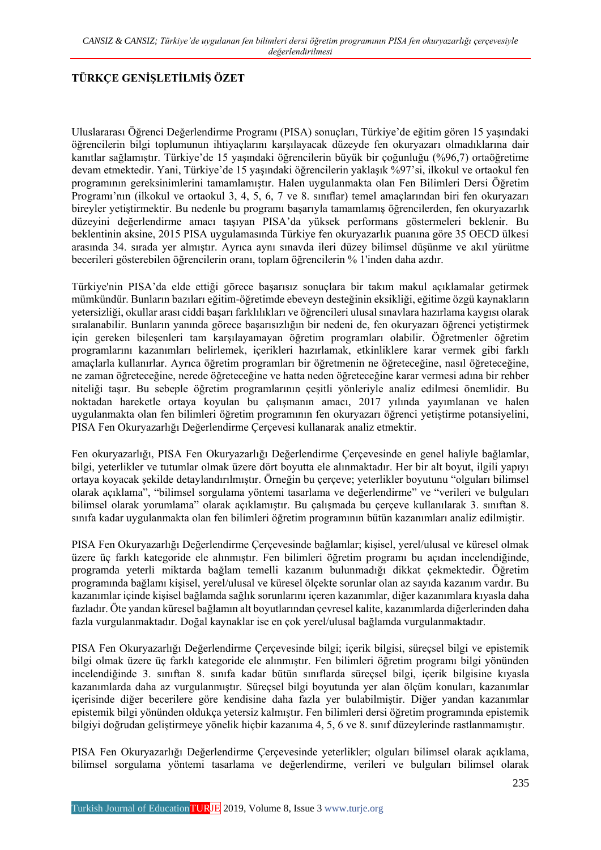## **TÜRKÇE GENİŞLETİLMİŞ ÖZET**

Uluslararası Öğrenci Değerlendirme Programı (PISA) sonuçları, Türkiye'de eğitim gören 15 yaşındaki öğrencilerin bilgi toplumunun ihtiyaçlarını karşılayacak düzeyde fen okuryazarı olmadıklarına dair kanıtlar sağlamıştır. Türkiye'de 15 yaşındaki öğrencilerin büyük bir çoğunluğu (%96,7) ortaöğretime devam etmektedir. Yani, Türkiye'de 15 yaşındaki öğrencilerin yaklaşık %97'si, ilkokul ve ortaokul fen programının gereksinimlerini tamamlamıştır. Halen uygulanmakta olan Fen Bilimleri Dersi Öğretim Programı'nın (ilkokul ve ortaokul 3, 4, 5, 6, 7 ve 8. sınıflar) temel amaçlarından biri fen okuryazarı bireyler yetiştirmektir. Bu nedenle bu programı başarıyla tamamlamış öğrencilerden, fen okuryazarlık düzeyini değerlendirme amacı taşıyan PISA'da yüksek performans göstermeleri beklenir. Bu beklentinin aksine, 2015 PISA uygulamasında Türkiye fen okuryazarlık puanına göre 35 OECD ülkesi arasında 34. sırada yer almıştır. Ayrıca aynı sınavda ileri düzey bilimsel düşünme ve akıl yürütme becerileri gösterebilen öğrencilerin oranı, toplam öğrencilerin % 1'inden daha azdır.

Türkiye'nin PISA'da elde ettiği görece başarısız sonuçlara bir takım makul açıklamalar getirmek mümkündür. Bunların bazıları eğitim-öğretimde ebeveyn desteğinin eksikliği, eğitime özgü kaynakların yetersizliği, okullar arası ciddi başarı farklılıkları ve öğrencileri ulusal sınavlara hazırlama kaygısı olarak sıralanabilir. Bunların yanında görece başarısızlığın bir nedeni de, fen okuryazarı öğrenci yetiştirmek için gereken bileşenleri tam karşılayamayan öğretim programları olabilir. Öğretmenler öğretim programlarını kazanımları belirlemek, içerikleri hazırlamak, etkinliklere karar vermek gibi farklı amaçlarla kullanırlar. Ayrıca öğretim programları bir öğretmenin ne öğreteceğine, nasıl öğreteceğine, ne zaman öğreteceğine, nerede öğreteceğine ve hatta neden öğreteceğine karar vermesi adına bir rehber niteliği taşır. Bu sebeple öğretim programlarının çeşitli yönleriyle analiz edilmesi önemlidir. Bu noktadan hareketle ortaya koyulan bu çalışmanın amacı, 2017 yılında yayımlanan ve halen uygulanmakta olan fen bilimleri öğretim programının fen okuryazarı öğrenci yetiştirme potansiyelini, PISA Fen Okuryazarlığı Değerlendirme Çerçevesi kullanarak analiz etmektir.

Fen okuryazarlığı, PISA Fen Okuryazarlığı Değerlendirme Çerçevesinde en genel haliyle bağlamlar, bilgi, yeterlikler ve tutumlar olmak üzere dört boyutta ele alınmaktadır. Her bir alt boyut, ilgili yapıyı ortaya koyacak şekilde detaylandırılmıştır. Örneğin bu çerçeve; yeterlikler boyutunu "olguları bilimsel olarak açıklama", "bilimsel sorgulama yöntemi tasarlama ve değerlendirme" ve "verileri ve bulguları bilimsel olarak yorumlama" olarak açıklamıştır. Bu çalışmada bu çerçeve kullanılarak 3. sınıftan 8. sınıfa kadar uygulanmakta olan fen bilimleri öğretim programının bütün kazanımları analiz edilmiştir.

PISA Fen Okuryazarlığı Değerlendirme Çerçevesinde bağlamlar; kişisel, yerel/ulusal ve küresel olmak üzere üç farklı kategoride ele alınmıştır. Fen bilimleri öğretim programı bu açıdan incelendiğinde, programda yeterli miktarda bağlam temelli kazanım bulunmadığı dikkat çekmektedir. Öğretim programında bağlamı kişisel, yerel/ulusal ve küresel ölçekte sorunlar olan az sayıda kazanım vardır. Bu kazanımlar içinde kişisel bağlamda sağlık sorunlarını içeren kazanımlar, diğer kazanımlara kıyasla daha fazladır. Öte yandan küresel bağlamın alt boyutlarından çevresel kalite, kazanımlarda diğerlerinden daha fazla vurgulanmaktadır. Doğal kaynaklar ise en çok yerel/ulusal bağlamda vurgulanmaktadır.

PISA Fen Okuryazarlığı Değerlendirme Çerçevesinde bilgi; içerik bilgisi, süreçsel bilgi ve epistemik bilgi olmak üzere üç farklı kategoride ele alınmıştır. Fen bilimleri öğretim programı bilgi yönünden incelendiğinde 3. sınıftan 8. sınıfa kadar bütün sınıflarda süreçsel bilgi, içerik bilgisine kıyasla kazanımlarda daha az vurgulanmıştır. Süreçsel bilgi boyutunda yer alan ölçüm konuları, kazanımlar içerisinde diğer becerilere göre kendisine daha fazla yer bulabilmiştir. Diğer yandan kazanımlar epistemik bilgi yönünden oldukça yetersiz kalmıştır. Fen bilimleri dersi öğretim programında epistemik bilgiyi doğrudan geliştirmeye yönelik hiçbir kazanıma 4, 5, 6 ve 8. sınıf düzeylerinde rastlanmamıştır.

PISA Fen Okuryazarlığı Değerlendirme Çerçevesinde yeterlikler; olguları bilimsel olarak açıklama, bilimsel sorgulama yöntemi tasarlama ve değerlendirme, verileri ve bulguları bilimsel olarak